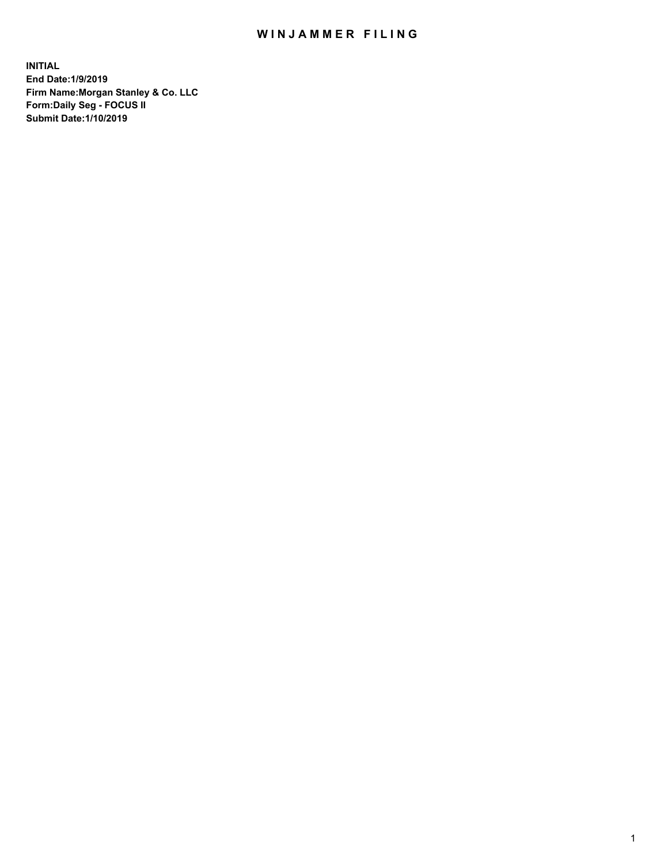## WIN JAMMER FILING

**INITIAL End Date:1/9/2019 Firm Name:Morgan Stanley & Co. LLC Form:Daily Seg - FOCUS II Submit Date:1/10/2019**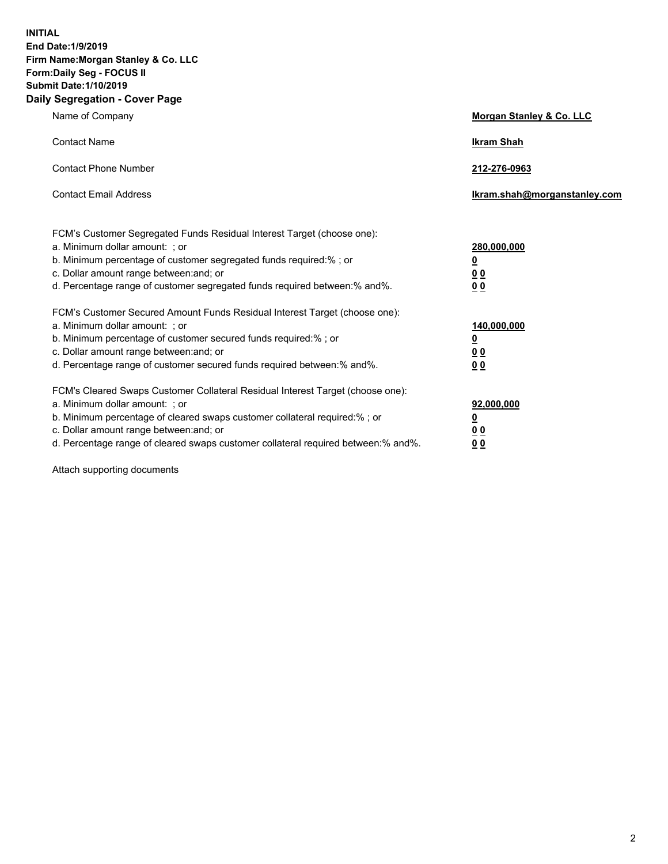**INITIAL End Date:1/9/2019 Firm Name:Morgan Stanley & Co. LLC Form:Daily Seg - FOCUS II Submit Date:1/10/2019 Daily Segregation - Cover Page**

| Name of Company                                                                                                                                                                                                                                                                                                                | Morgan Stanley & Co. LLC                               |
|--------------------------------------------------------------------------------------------------------------------------------------------------------------------------------------------------------------------------------------------------------------------------------------------------------------------------------|--------------------------------------------------------|
| <b>Contact Name</b>                                                                                                                                                                                                                                                                                                            | <b>Ikram Shah</b>                                      |
| <b>Contact Phone Number</b>                                                                                                                                                                                                                                                                                                    | 212-276-0963                                           |
| <b>Contact Email Address</b>                                                                                                                                                                                                                                                                                                   | Ikram.shah@morganstanley.com                           |
| FCM's Customer Segregated Funds Residual Interest Target (choose one):<br>a. Minimum dollar amount: ; or<br>b. Minimum percentage of customer segregated funds required:% ; or<br>c. Dollar amount range between: and; or<br>d. Percentage range of customer segregated funds required between:% and%.                         | 280,000,000<br><u>0</u><br>0 <sup>0</sup><br><u>00</u> |
| FCM's Customer Secured Amount Funds Residual Interest Target (choose one):<br>a. Minimum dollar amount: ; or<br>b. Minimum percentage of customer secured funds required:%; or<br>c. Dollar amount range between: and; or<br>d. Percentage range of customer secured funds required between:% and%.                            | 140,000,000<br><u>0</u><br>0 Q<br>0 <sup>0</sup>       |
| FCM's Cleared Swaps Customer Collateral Residual Interest Target (choose one):<br>a. Minimum dollar amount: ; or<br>b. Minimum percentage of cleared swaps customer collateral required:% ; or<br>c. Dollar amount range between: and; or<br>d. Percentage range of cleared swaps customer collateral required between:% and%. | 92,000,000<br><u>0</u><br><u>00</u><br>00              |

Attach supporting documents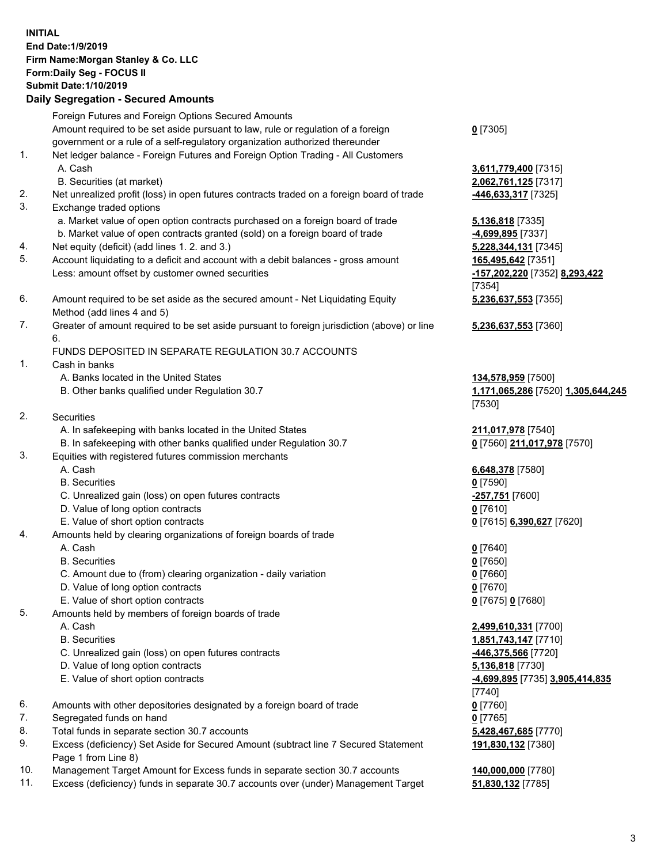## **INITIAL End Date:1/9/2019 Firm Name:Morgan Stanley & Co. LLC Form:Daily Seg - FOCUS II Submit Date:1/10/2019 Daily Segregation - Secured Amounts**

Foreign Futures and Foreign Options Secured Amounts Amount required to be set aside pursuant to law, rule or regulation of a foreign government or a rule of a self-regulatory organization authorized thereunder

- 1. Net ledger balance Foreign Futures and Foreign Option Trading All Customers A. Cash **3,611,779,400** [7315]
	- B. Securities (at market) **2,062,761,125** [7317]
- 2. Net unrealized profit (loss) in open futures contracts traded on a foreign board of trade **-446,633,317** [7325]
- 3. Exchange traded options
	- a. Market value of open option contracts purchased on a foreign board of trade **5,136,818** [7335]
	- b. Market value of open contracts granted (sold) on a foreign board of trade **-4,699,895** [7337]
- 4. Net equity (deficit) (add lines 1. 2. and 3.) **5,228,344,131** [7345]
- 5. Account liquidating to a deficit and account with a debit balances gross amount **165,495,642** [7351] Less: amount offset by customer owned securities **-157,202,220** [7352] **8,293,422**
- 6. Amount required to be set aside as the secured amount Net Liquidating Equity Method (add lines 4 and 5)
- 7. Greater of amount required to be set aside pursuant to foreign jurisdiction (above) or line 6.

## FUNDS DEPOSITED IN SEPARATE REGULATION 30.7 ACCOUNTS

- 1. Cash in banks
	- A. Banks located in the United States **134,578,959** [7500]
	- B. Other banks qualified under Regulation 30.7 **1,171,065,286** [7520] **1,305,644,245**
- 2. Securities
	- A. In safekeeping with banks located in the United States **211,017,978** [7540]
	- B. In safekeeping with other banks qualified under Regulation 30.7 **0** [7560] **211,017,978** [7570]
- 3. Equities with registered futures commission merchants
	-
	- B. Securities **0** [7590]
	- C. Unrealized gain (loss) on open futures contracts **-257,751** [7600]
	- D. Value of long option contracts **0** [7610]
- E. Value of short option contracts **0** [7615] **6,390,627** [7620]
- 4. Amounts held by clearing organizations of foreign boards of trade
	- A. Cash **0** [7640]
	- B. Securities **0** [7650]
	- C. Amount due to (from) clearing organization daily variation **0** [7660]
	- D. Value of long option contracts **0** [7670]
	- E. Value of short option contracts **0** [7675] **0** [7680]
- 5. Amounts held by members of foreign boards of trade
	-
	-
	- C. Unrealized gain (loss) on open futures contracts **-446,375,566** [7720]
	- D. Value of long option contracts **5,136,818** [7730]
	- E. Value of short option contracts **-4,699,895** [7735] **3,905,414,835**
- 6. Amounts with other depositories designated by a foreign board of trade **0** [7760]
- 7. Segregated funds on hand **0** [7765]
- 8. Total funds in separate section 30.7 accounts **5,428,467,685** [7770]
- 9. Excess (deficiency) Set Aside for Secured Amount (subtract line 7 Secured Statement Page 1 from Line 8)
- 10. Management Target Amount for Excess funds in separate section 30.7 accounts **140,000,000** [7780]
- 11. Excess (deficiency) funds in separate 30.7 accounts over (under) Management Target **51,830,132** [7785]

**0** [7305]

[7354] **5,236,637,553** [7355]

**5,236,637,553** [7360]

[7530]

A. Cash **6,648,378** [7580]

 A. Cash **2,499,610,331** [7700] B. Securities **1,851,743,147** [7710] [7740] **191,830,132** [7380]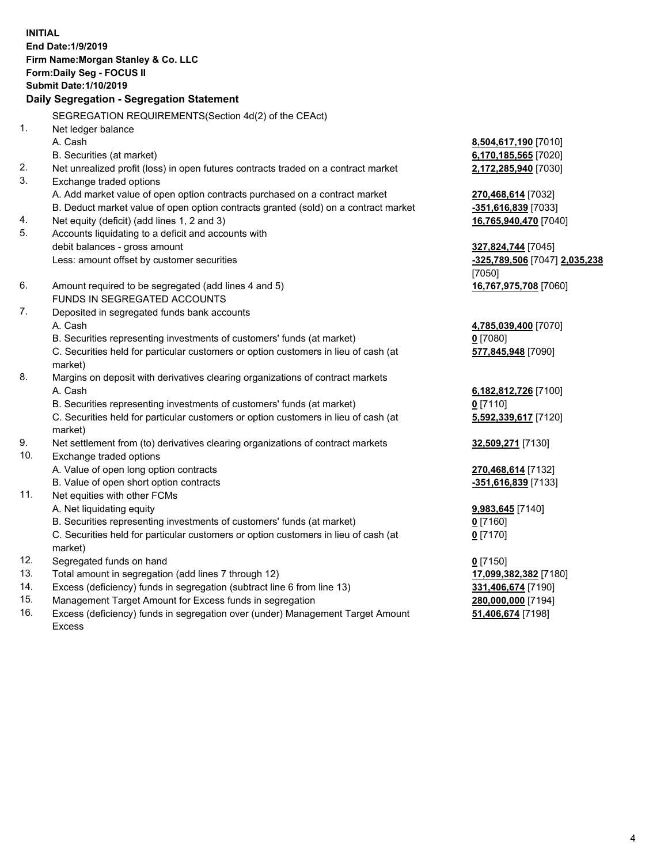**INITIAL End Date:1/9/2019 Firm Name:Morgan Stanley & Co. LLC Form:Daily Seg - FOCUS II Submit Date:1/10/2019 Daily Segregation - Segregation Statement** SEGREGATION REQUIREMENTS(Section 4d(2) of the CEAct) 1. Net ledger balance A. Cash **8,504,617,190** [7010] B. Securities (at market) **6,170,185,565** [7020] 2. Net unrealized profit (loss) in open futures contracts traded on a contract market **2,172,285,940** [7030] 3. Exchange traded options A. Add market value of open option contracts purchased on a contract market **270,468,614** [7032] B. Deduct market value of open option contracts granted (sold) on a contract market **-351,616,839** [7033] 4. Net equity (deficit) (add lines 1, 2 and 3) **16,765,940,470** [7040] 5. Accounts liquidating to a deficit and accounts with debit balances - gross amount **327,824,744** [7045] Less: amount offset by customer securities **-325,789,506** [7047] **2,035,238** [7050] 6. Amount required to be segregated (add lines 4 and 5) **16,767,975,708** [7060] FUNDS IN SEGREGATED ACCOUNTS 7. Deposited in segregated funds bank accounts A. Cash **4,785,039,400** [7070] B. Securities representing investments of customers' funds (at market) **0** [7080] C. Securities held for particular customers or option customers in lieu of cash (at market) **577,845,948** [7090] 8. Margins on deposit with derivatives clearing organizations of contract markets A. Cash **6,182,812,726** [7100] B. Securities representing investments of customers' funds (at market) **0** [7110] C. Securities held for particular customers or option customers in lieu of cash (at market) **5,592,339,617** [7120] 9. Net settlement from (to) derivatives clearing organizations of contract markets **32,509,271** [7130] 10. Exchange traded options A. Value of open long option contracts **270,468,614** [7132] B. Value of open short option contracts **-351,616,839** [7133] 11. Net equities with other FCMs A. Net liquidating equity **9,983,645** [7140] B. Securities representing investments of customers' funds (at market) **0** [7160] C. Securities held for particular customers or option customers in lieu of cash (at market) **0** [7170] 12. Segregated funds on hand **0** [7150] 13. Total amount in segregation (add lines 7 through 12) **17,099,382,382** [7180] 14. Excess (deficiency) funds in segregation (subtract line 6 from line 13) **331,406,674** [7190]

- 15. Management Target Amount for Excess funds in segregation **280,000,000** [7194]
- 16. Excess (deficiency) funds in segregation over (under) Management Target Amount Excess

**51,406,674** [7198]